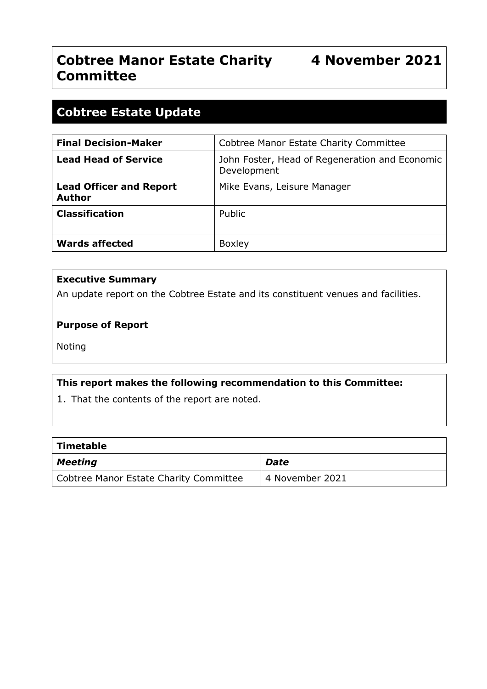# **Cobtree Manor Estate Charity 4 November 2021 Committee**

# **Cobtree Estate Update**

| <b>Final Decision-Maker</b>                     | <b>Cobtree Manor Estate Charity Committee</b>                 |
|-------------------------------------------------|---------------------------------------------------------------|
| <b>Lead Head of Service</b>                     | John Foster, Head of Regeneration and Economic<br>Development |
| <b>Lead Officer and Report</b><br><b>Author</b> | Mike Evans, Leisure Manager                                   |
| <b>Classification</b>                           | Public                                                        |
| <b>Wards affected</b>                           | <b>Boxley</b>                                                 |

#### **Executive Summary**

An update report on the Cobtree Estate and its constituent venues and facilities.

## **Purpose of Report**

Noting

# **This report makes the following recommendation to this Committee:**

1. That the contents of the report are noted.

| <b>Timetable</b>                       |                 |
|----------------------------------------|-----------------|
| <b>Meeting</b>                         | Date            |
| Cobtree Manor Estate Charity Committee | 4 November 2021 |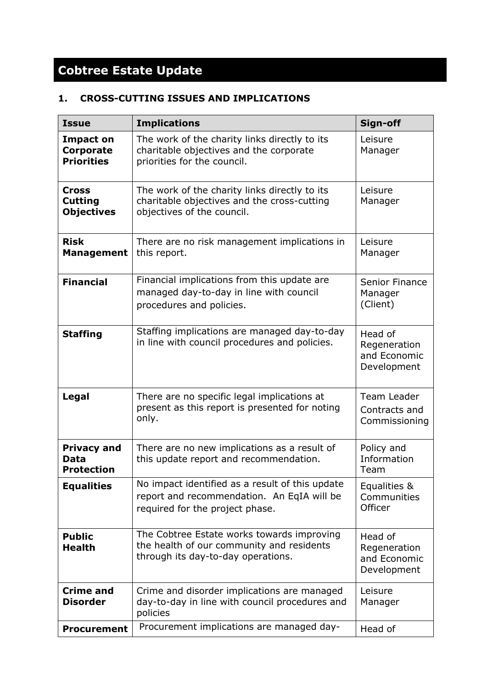# **Cobtree Estate Update**

# **1. CROSS-CUTTING ISSUES AND IMPLICATIONS**

| <b>Issue</b>                                       | <b>Implications</b>                                                                                                              | Sign-off                                               |
|----------------------------------------------------|----------------------------------------------------------------------------------------------------------------------------------|--------------------------------------------------------|
| Impact on<br><b>Corporate</b><br><b>Priorities</b> | The work of the charity links directly to its<br>charitable objectives and the corporate<br>priorities for the council.          | Leisure<br>Manager                                     |
| Cross<br><b>Cutting</b><br><b>Objectives</b>       | The work of the charity links directly to its<br>charitable objectives and the cross-cutting<br>objectives of the council.       | Leisure<br>Manager                                     |
| <b>Risk</b><br><b>Management</b>                   | There are no risk management implications in<br>this report.                                                                     | Leisure<br>Manager                                     |
| <b>Financial</b>                                   | Financial implications from this update are<br>managed day-to-day in line with council<br>procedures and policies.               | Senior Finance<br>Manager<br>(Client)                  |
| <b>Staffing</b>                                    | Staffing implications are managed day-to-day<br>in line with council procedures and policies.                                    | Head of<br>Regeneration<br>and Economic<br>Development |
| Legal                                              | There are no specific legal implications at<br>present as this report is presented for noting<br>only.                           | Team Leader<br>Contracts and<br>Commissioning          |
| <b>Privacy and</b><br>Data<br><b>Protection</b>    | There are no new implications as a result of<br>this update report and recommendation.                                           | Policy and<br>Information<br>Team                      |
| <b>Equalities</b>                                  | No impact identified as a result of this update<br>report and recommendation. An EqIA will be<br>required for the project phase. | Equalities &<br>Communities<br>Officer                 |
| <b>Public</b><br><b>Health</b>                     | The Cobtree Estate works towards improving<br>the health of our community and residents<br>through its day-to-day operations.    | Head of<br>Regeneration<br>and Economic<br>Development |
| <b>Crime and</b><br><b>Disorder</b>                | Crime and disorder implications are managed<br>day-to-day in line with council procedures and<br>policies                        | Leisure<br>Manager                                     |
| <b>Procurement</b>                                 | Procurement implications are managed day-                                                                                        | Head of                                                |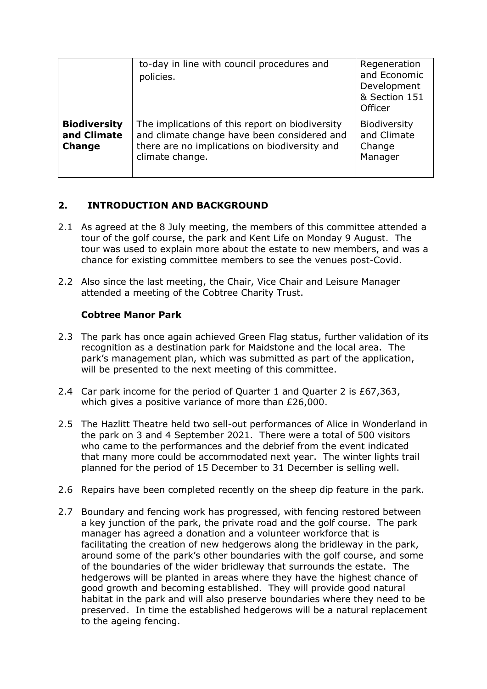|                                                     | to-day in line with council procedures and<br>policies.                                                                                                            | Regeneration<br>and Economic<br>Development<br>& Section 151<br>Officer |
|-----------------------------------------------------|--------------------------------------------------------------------------------------------------------------------------------------------------------------------|-------------------------------------------------------------------------|
| <b>Biodiversity</b><br>and Climate<br><b>Change</b> | The implications of this report on biodiversity<br>and climate change have been considered and<br>there are no implications on biodiversity and<br>climate change. | Biodiversity<br>and Climate<br>Change<br>Manager                        |

# **2. INTRODUCTION AND BACKGROUND**

- 2.1 As agreed at the 8 July meeting, the members of this committee attended a tour of the golf course, the park and Kent Life on Monday 9 August. The tour was used to explain more about the estate to new members, and was a chance for existing committee members to see the venues post-Covid.
- 2.2 Also since the last meeting, the Chair, Vice Chair and Leisure Manager attended a meeting of the Cobtree Charity Trust.

## **Cobtree Manor Park**

- 2.3 The park has once again achieved Green Flag status, further validation of its recognition as a destination park for Maidstone and the local area. The park's management plan, which was submitted as part of the application, will be presented to the next meeting of this committee.
- 2.4 Car park income for the period of Quarter 1 and Quarter 2 is £67,363, which gives a positive variance of more than £26,000.
- 2.5 The Hazlitt Theatre held two sell-out performances of Alice in Wonderland in the park on 3 and 4 September 2021. There were a total of 500 visitors who came to the performances and the debrief from the event indicated that many more could be accommodated next year. The winter lights trail planned for the period of 15 December to 31 December is selling well.
- 2.6 Repairs have been completed recently on the sheep dip feature in the park.
- 2.7 Boundary and fencing work has progressed, with fencing restored between a key junction of the park, the private road and the golf course. The park manager has agreed a donation and a volunteer workforce that is facilitating the creation of new hedgerows along the bridleway in the park, around some of the park's other boundaries with the golf course, and some of the boundaries of the wider bridleway that surrounds the estate. The hedgerows will be planted in areas where they have the highest chance of good growth and becoming established. They will provide good natural habitat in the park and will also preserve boundaries where they need to be preserved. In time the established hedgerows will be a natural replacement to the ageing fencing.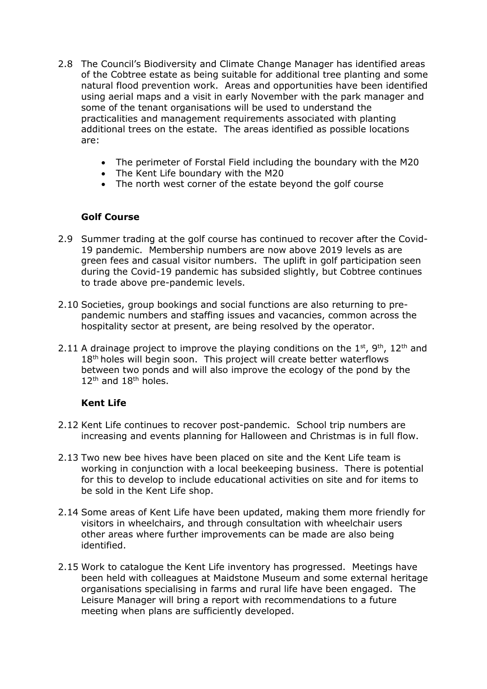- 2.8 The Council's Biodiversity and Climate Change Manager has identified areas of the Cobtree estate as being suitable for additional tree planting and some natural flood prevention work. Areas and opportunities have been identified using aerial maps and a visit in early November with the park manager and some of the tenant organisations will be used to understand the practicalities and management requirements associated with planting additional trees on the estate. The areas identified as possible locations are:
	- The perimeter of Forstal Field including the boundary with the M20
	- The Kent Life boundary with the M20
	- The north west corner of the estate beyond the golf course

## **Golf Course**

- 2.9 Summer trading at the golf course has continued to recover after the Covid-19 pandemic. Membership numbers are now above 2019 levels as are green fees and casual visitor numbers. The uplift in golf participation seen during the Covid-19 pandemic has subsided slightly, but Cobtree continues to trade above pre-pandemic levels.
- 2.10 Societies, group bookings and social functions are also returning to prepandemic numbers and staffing issues and vacancies, common across the hospitality sector at present, are being resolved by the operator.
- 2.11 A drainage project to improve the playing conditions on the  $1^{st}$ ,  $9^{th}$ ,  $12^{th}$  and 18<sup>th</sup> holes will begin soon. This project will create better waterflows between two ponds and will also improve the ecology of the pond by the 12<sup>th</sup> and 18<sup>th</sup> holes.

#### **Kent Life**

- 2.12 Kent Life continues to recover post-pandemic. School trip numbers are increasing and events planning for Halloween and Christmas is in full flow.
- 2.13 Two new bee hives have been placed on site and the Kent Life team is working in conjunction with a local beekeeping business. There is potential for this to develop to include educational activities on site and for items to be sold in the Kent Life shop.
- 2.14 Some areas of Kent Life have been updated, making them more friendly for visitors in wheelchairs, and through consultation with wheelchair users other areas where further improvements can be made are also being identified.
- 2.15 Work to catalogue the Kent Life inventory has progressed. Meetings have been held with colleagues at Maidstone Museum and some external heritage organisations specialising in farms and rural life have been engaged. The Leisure Manager will bring a report with recommendations to a future meeting when plans are sufficiently developed.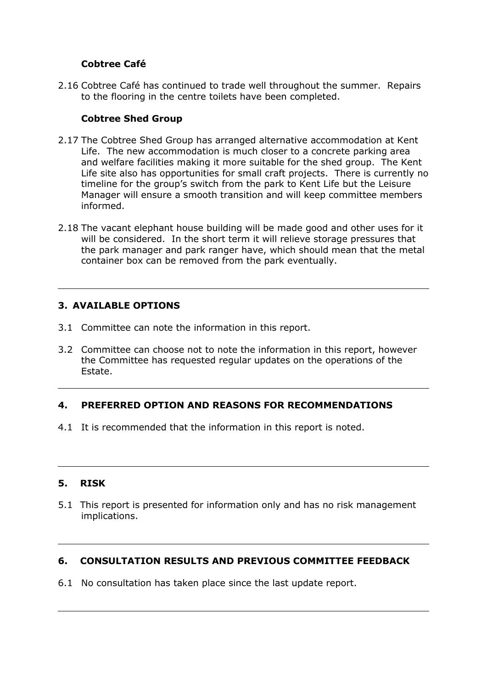# **Cobtree Café**

2.16 Cobtree Café has continued to trade well throughout the summer. Repairs to the flooring in the centre toilets have been completed.

# **Cobtree Shed Group**

- 2.17 The Cobtree Shed Group has arranged alternative accommodation at Kent Life. The new accommodation is much closer to a concrete parking area and welfare facilities making it more suitable for the shed group. The Kent Life site also has opportunities for small craft projects. There is currently no timeline for the group's switch from the park to Kent Life but the Leisure Manager will ensure a smooth transition and will keep committee members informed.
- 2.18 The vacant elephant house building will be made good and other uses for it will be considered. In the short term it will relieve storage pressures that the park manager and park ranger have, which should mean that the metal container box can be removed from the park eventually.

# **3. AVAILABLE OPTIONS**

- 3.1 Committee can note the information in this report.
- 3.2 Committee can choose not to note the information in this report, however the Committee has requested regular updates on the operations of the Estate.

# **4. PREFERRED OPTION AND REASONS FOR RECOMMENDATIONS**

4.1 It is recommended that the information in this report is noted.

#### **5. RISK**

5.1 This report is presented for information only and has no risk management implications.

#### **6. CONSULTATION RESULTS AND PREVIOUS COMMITTEE FEEDBACK**

6.1 No consultation has taken place since the last update report.